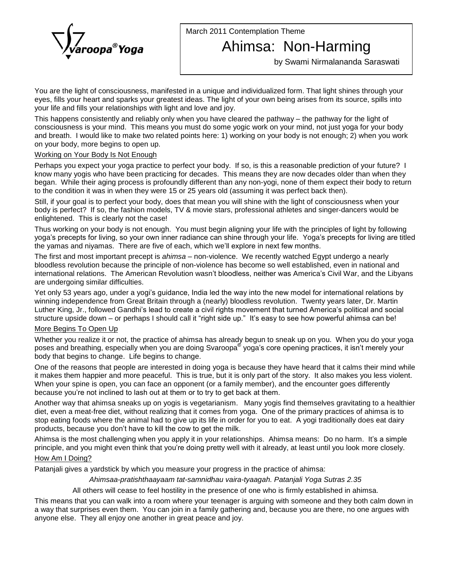

March 2011 Contemplation Theme

# Ahimsa: Non-Harming

by Swami Nirmalananda Saraswati

You are the light of consciousness, manifested in a unique and individualized form. That light shines through your eyes, fills your heart and sparks your greatest ideas. The light of your own being arises from its source, spills into your life and fills your relationships with light and love and joy.

This happens consistently and reliably only when you have cleared the pathway  $-$  the pathway for the light of consciousness is your mind. This means you must do some yogic work on your mind, not just yoga for your body and breath. I would like to make two related points here: 1) working on your body is notenough; 2) when you work on your body, more begins to open up.

## Working on Your Body Is Not Enough

Perhaps you expect your yoga practice to perfect your body. If so, is this a reasonable prediction of your future? I know many yogis who have been practicing for decades. This means they are now decades older than when they began. While their aging process is profoundly different than any non-yogi, none of them expect their body to return to the condition it was in when they were 15 or 25 years old (assuming it was perfect back then).

Still, if your goal is to perfect your body, does that mean you will shine with the light of consciousness when your body is perfect? If so, the fashion models, TV & movie stars, professional athletes and singer-dancers would be enlightened. This is clearly not the case!

Thus working on your body is not enough. You must begin aligning your life with the principles of light by following enlightened. This is clearly not the case!<br>Thus working on your body is not enough. You must begin aligning your life with the principles of light by following<br>yoga's precepts for living, so your own inner radiance can s Thus working on your body is not enough. You must begin aligning your life with the principle<br>yoga's precepts for living, so your own inner radiance can shine through your life. Yoga's pre<br>the yamas and niyamas. There are yoga's precepts for living, so your own inner radiance can shine through your life. Yoga's precepts for living are titled<br>the yamas and niyamas. There are five of each, which we'll explore in next few months.<br>The first and

bloodless revolution because the principle of non-violence has become so well established, even in national and The first and most important precept is *ahimsa* – non-violence. We recently watched Egypt undergo a nearly<br>bloodless revolution because the principle of non-violence has become so well established, even in national and<br>in are undergoing similar difficulties. international relations. The American Revolution wasn't bloodless, neither was America's Civil War, and the Libyans<br>are undergoing similar difficulties.<br>Yet only 53 years ago, under a yogi's guidance, India led the way int

winning independence from Great Britain through a (nearly) bloodless revolution. Twenty years later, Dr. Martin Yet only 53 years ago, under a yogi's guidance, India led the way into the new model for international relations by<br>winning independence from Great Britain through a (nearly) bloodless revolution. Twenty years later, Dr. winning independence from Great Britain through a (nearly) bloodless revolution. Twenty years later, Dr. Martin<br>Luther King, Jr., followed Gandhi's lead to create a civil rights movement that turned America's political and

# More Begins To Open Up

Whether you realize it or not, the practice of ahimsa has already begun to sneak up on you. When you do your yoga <u>More Begins To Open Up</u><br>Whether you realize it or not, the practice of ahimsa has already begun to sneak up on you. When you do your yoga<br>poses and breathing, especially when you are doing Svaroopa<sup>®</sup> yoga's core opening body that begins to change. Life begins to change.

One of the reasons that people are interested in doing yoga is because they have heard that it calms their mind while it makes them happier and more peaceful. This is true, but it is only part of the story. It also makes you less violent.<br>When your spine is open, you can face an opponent (or a family member), and the encounter goes differ When your spine is open, you can face an opponent (or a family member), and the encounter goes differently

Another way that ahimsa sneaks up on yogis is vegetarianism. Many yogis find themselves gravitating to a healthier diet, even a meat-free diet, without realizing that it comes from yoga. One of the primary practices of ahimsa is to<br>stop eating foods where the animal had to give up its life in order for you to eat. A yogi traditionally stop eating foods where the animal had to give up its life in order for you to eat. A yogi traditionally does eat dairy<br>products, because you don't have to kill the cow to get the milk.<br>Ahimsa is the most challenging when

products, because you don't have to kill the cow to get the milk.<br>Ahimsa is the most challenging when you apply it in your relationships. Ahimsa means: Do no harm. It's a simple<br>principle, and you might even think that you How Am I Doing?

# Patanjali gives a yardstick by which you measure your progress in the practice of ahimsa:

Ahimsaa-pratishthaayaam tat-samnidhau vaira-tyaagah. Patanjali Yoga Sutras 2.35

All others will cease to feel hostility in the presence of one who is firmly established in ahimsa.

This means that you can walk into a room where your teenager is arguing with someone and they both calm down in a way that surprises even them. You can join in a family gathering and, because you are there, no one argues with anyone else. They all enjoy one another in great peace and joy.